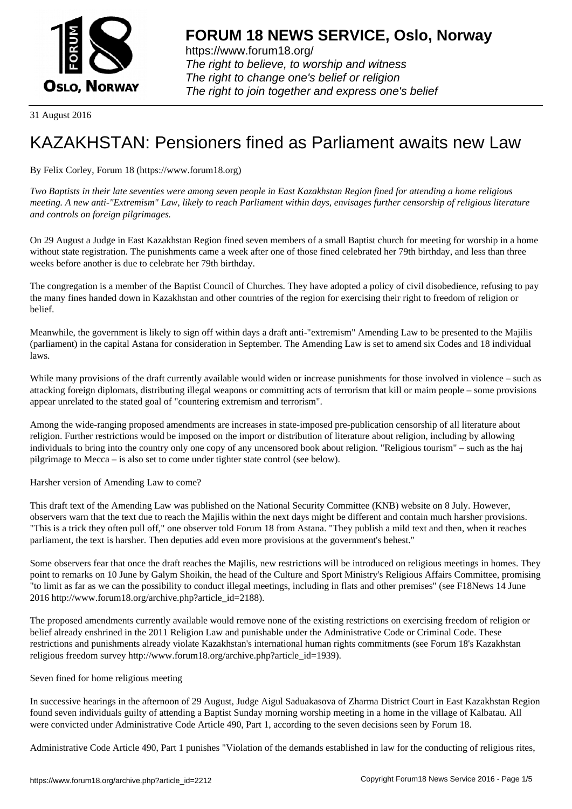

https://www.forum18.org/ The right to believe, to worship and witness The right to change one's belief or religion [The right to join together a](https://www.forum18.org/)nd express one's belief

31 August 2016

## [KAZAKHSTAN:](https://www.forum18.org) Pensioners fined as Parliament awaits new Law

## By Felix Corley, Forum 18 (https://www.forum18.org)

*Two Baptists in their late seventies were among seven people in East Kazakhstan Region fined for attending a home religious meeting. A new anti-"Extremism" Law, likely to reach Parliament within days, envisages further censorship of religious literature and controls on foreign pilgrimages.*

On 29 August a Judge in East Kazakhstan Region fined seven members of a small Baptist church for meeting for worship in a home without state registration. The punishments came a week after one of those fined celebrated her 79th birthday, and less than three weeks before another is due to celebrate her 79th birthday.

The congregation is a member of the Baptist Council of Churches. They have adopted a policy of civil disobedience, refusing to pay the many fines handed down in Kazakhstan and other countries of the region for exercising their right to freedom of religion or belief.

Meanwhile, the government is likely to sign off within days a draft anti-"extremism" Amending Law to be presented to the Majilis (parliament) in the capital Astana for consideration in September. The Amending Law is set to amend six Codes and 18 individual laws.

While many provisions of the draft currently available would widen or increase punishments for those involved in violence – such as attacking foreign diplomats, distributing illegal weapons or committing acts of terrorism that kill or maim people – some provisions appear unrelated to the stated goal of "countering extremism and terrorism".

Among the wide-ranging proposed amendments are increases in state-imposed pre-publication censorship of all literature about religion. Further restrictions would be imposed on the import or distribution of literature about religion, including by allowing individuals to bring into the country only one copy of any uncensored book about religion. "Religious tourism" – such as the haj pilgrimage to Mecca – is also set to come under tighter state control (see below).

Harsher version of Amending Law to come?

This draft text of the Amending Law was published on the National Security Committee (KNB) website on 8 July. However, observers warn that the text due to reach the Majilis within the next days might be different and contain much harsher provisions. "This is a trick they often pull off," one observer told Forum 18 from Astana. "They publish a mild text and then, when it reaches parliament, the text is harsher. Then deputies add even more provisions at the government's behest."

Some observers fear that once the draft reaches the Majilis, new restrictions will be introduced on religious meetings in homes. They point to remarks on 10 June by Galym Shoikin, the head of the Culture and Sport Ministry's Religious Affairs Committee, promising "to limit as far as we can the possibility to conduct illegal meetings, including in flats and other premises" (see F18News 14 June 2016 http://www.forum18.org/archive.php?article\_id=2188).

The proposed amendments currently available would remove none of the existing restrictions on exercising freedom of religion or belief already enshrined in the 2011 Religion Law and punishable under the Administrative Code or Criminal Code. These restrictions and punishments already violate Kazakhstan's international human rights commitments (see Forum 18's Kazakhstan religious freedom survey http://www.forum18.org/archive.php?article\_id=1939).

Seven fined for home religious meeting

In successive hearings in the afternoon of 29 August, Judge Aigul Saduakasova of Zharma District Court in East Kazakhstan Region found seven individuals guilty of attending a Baptist Sunday morning worship meeting in a home in the village of Kalbatau. All were convicted under Administrative Code Article 490, Part 1, according to the seven decisions seen by Forum 18.

Administrative Code Article 490, Part 1 punishes "Violation of the demands established in law for the conducting of religious rites,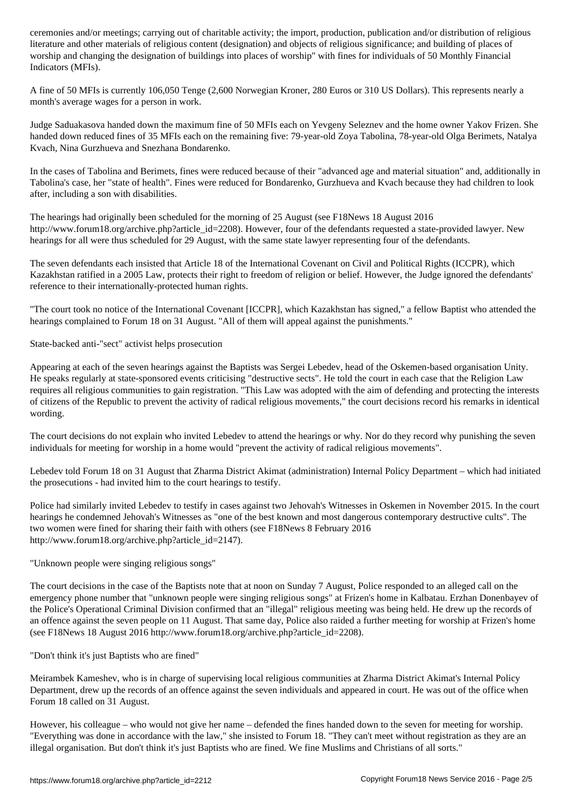literature and other materials of religious content (designation) and objects of religious significance; and building of places of worship and changing the designation of buildings into places of worship" with fines for individuals of 50 Monthly Financial Indicators (MFIs).

A fine of 50 MFIs is currently 106,050 Tenge (2,600 Norwegian Kroner, 280 Euros or 310 US Dollars). This represents nearly a month's average wages for a person in work.

Judge Saduakasova handed down the maximum fine of 50 MFIs each on Yevgeny Seleznev and the home owner Yakov Frizen. She handed down reduced fines of 35 MFIs each on the remaining five: 79-year-old Zoya Tabolina, 78-year-old Olga Berimets, Natalya Kvach, Nina Gurzhueva and Snezhana Bondarenko.

In the cases of Tabolina and Berimets, fines were reduced because of their "advanced age and material situation" and, additionally in Tabolina's case, her "state of health". Fines were reduced for Bondarenko, Gurzhueva and Kvach because they had children to look after, including a son with disabilities.

The hearings had originally been scheduled for the morning of 25 August (see F18News 18 August 2016 http://www.forum18.org/archive.php?article\_id=2208). However, four of the defendants requested a state-provided lawyer. New hearings for all were thus scheduled for 29 August, with the same state lawyer representing four of the defendants.

The seven defendants each insisted that Article 18 of the International Covenant on Civil and Political Rights (ICCPR), which Kazakhstan ratified in a 2005 Law, protects their right to freedom of religion or belief. However, the Judge ignored the defendants' reference to their internationally-protected human rights.

"The court took no notice of the International Covenant [ICCPR], which Kazakhstan has signed," a fellow Baptist who attended the hearings complained to Forum 18 on 31 August. "All of them will appeal against the punishments."

State-backed anti-"sect" activist helps prosecution

Appearing at each of the seven hearings against the Baptists was Sergei Lebedev, head of the Oskemen-based organisation Unity. He speaks regularly at state-sponsored events criticising "destructive sects". He told the court in each case that the Religion Law requires all religious communities to gain registration. "This Law was adopted with the aim of defending and protecting the interests of citizens of the Republic to prevent the activity of radical religious movements," the court decisions record his remarks in identical wording.

The court decisions do not explain who invited Lebedev to attend the hearings or why. Nor do they record why punishing the seven individuals for meeting for worship in a home would "prevent the activity of radical religious movements".

Lebedev told Forum 18 on 31 August that Zharma District Akimat (administration) Internal Policy Department – which had initiated the prosecutions - had invited him to the court hearings to testify.

Police had similarly invited Lebedev to testify in cases against two Jehovah's Witnesses in Oskemen in November 2015. In the court hearings he condemned Jehovah's Witnesses as "one of the best known and most dangerous contemporary destructive cults". The two women were fined for sharing their faith with others (see F18News 8 February 2016 http://www.forum18.org/archive.php?article\_id=2147).

"Unknown people were singing religious songs"

The court decisions in the case of the Baptists note that at noon on Sunday 7 August, Police responded to an alleged call on the emergency phone number that "unknown people were singing religious songs" at Frizen's home in Kalbatau. Erzhan Donenbayev of the Police's Operational Criminal Division confirmed that an "illegal" religious meeting was being held. He drew up the records of an offence against the seven people on 11 August. That same day, Police also raided a further meeting for worship at Frizen's home (see F18News 18 August 2016 http://www.forum18.org/archive.php?article\_id=2208).

"Don't think it's just Baptists who are fined"

Meirambek Kameshev, who is in charge of supervising local religious communities at Zharma District Akimat's Internal Policy Department, drew up the records of an offence against the seven individuals and appeared in court. He was out of the office when Forum 18 called on 31 August.

However, his colleague – who would not give her name – defended the fines handed down to the seven for meeting for worship. "Everything was done in accordance with the law," she insisted to Forum 18. "They can't meet without registration as they are an illegal organisation. But don't think it's just Baptists who are fined. We fine Muslims and Christians of all sorts."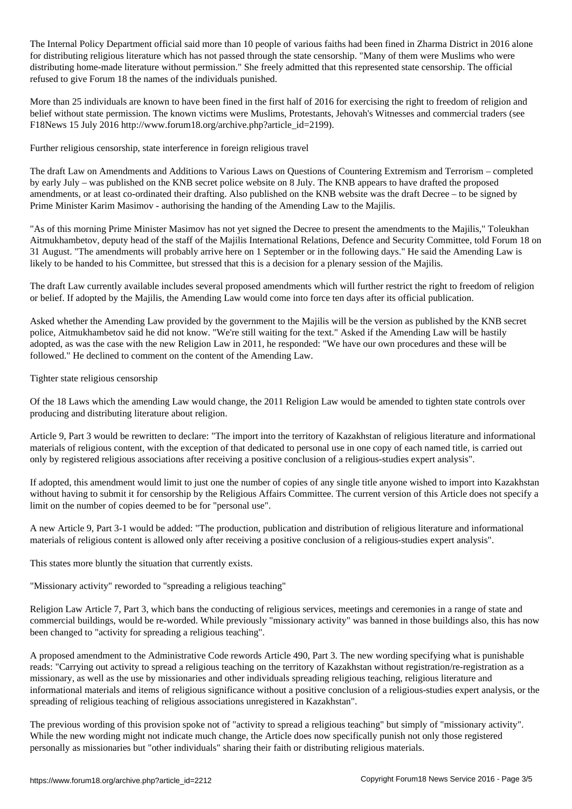The Internal Policy Department of various faith more than  $1$  perturbation faith shadows faith had been fined in  $2$ for distributing religious literature which has not passed through the state censorship. "Many of them were Muslims who were distributing home-made literature without permission." She freely admitted that this represented state censorship. The official refused to give Forum 18 the names of the individuals punished.

More than 25 individuals are known to have been fined in the first half of 2016 for exercising the right to freedom of religion and belief without state permission. The known victims were Muslims, Protestants, Jehovah's Witnesses and commercial traders (see F18News 15 July 2016 http://www.forum18.org/archive.php?article\_id=2199).

Further religious censorship, state interference in foreign religious travel

The draft Law on Amendments and Additions to Various Laws on Questions of Countering Extremism and Terrorism – completed by early July – was published on the KNB secret police website on 8 July. The KNB appears to have drafted the proposed amendments, or at least co-ordinated their drafting. Also published on the KNB website was the draft Decree – to be signed by Prime Minister Karim Masimov - authorising the handing of the Amending Law to the Majilis.

"As of this morning Prime Minister Masimov has not yet signed the Decree to present the amendments to the Majilis," Toleukhan Aitmukhambetov, deputy head of the staff of the Majilis International Relations, Defence and Security Committee, told Forum 18 on 31 August. "The amendments will probably arrive here on 1 September or in the following days." He said the Amending Law is likely to be handed to his Committee, but stressed that this is a decision for a plenary session of the Majilis.

The draft Law currently available includes several proposed amendments which will further restrict the right to freedom of religion or belief. If adopted by the Majilis, the Amending Law would come into force ten days after its official publication.

Asked whether the Amending Law provided by the government to the Majilis will be the version as published by the KNB secret police, Aitmukhambetov said he did not know. "We're still waiting for the text." Asked if the Amending Law will be hastily adopted, as was the case with the new Religion Law in 2011, he responded: "We have our own procedures and these will be followed." He declined to comment on the content of the Amending Law.

Tighter state religious censorship

Of the 18 Laws which the amending Law would change, the 2011 Religion Law would be amended to tighten state controls over producing and distributing literature about religion.

Article 9, Part 3 would be rewritten to declare: "The import into the territory of Kazakhstan of religious literature and informational materials of religious content, with the exception of that dedicated to personal use in one copy of each named title, is carried out only by registered religious associations after receiving a positive conclusion of a religious-studies expert analysis".

If adopted, this amendment would limit to just one the number of copies of any single title anyone wished to import into Kazakhstan without having to submit it for censorship by the Religious Affairs Committee. The current version of this Article does not specify a limit on the number of copies deemed to be for "personal use".

A new Article 9, Part 3-1 would be added: "The production, publication and distribution of religious literature and informational materials of religious content is allowed only after receiving a positive conclusion of a religious-studies expert analysis".

This states more bluntly the situation that currently exists.

"Missionary activity" reworded to "spreading a religious teaching"

Religion Law Article 7, Part 3, which bans the conducting of religious services, meetings and ceremonies in a range of state and commercial buildings, would be re-worded. While previously "missionary activity" was banned in those buildings also, this has now been changed to "activity for spreading a religious teaching".

A proposed amendment to the Administrative Code rewords Article 490, Part 3. The new wording specifying what is punishable reads: "Carrying out activity to spread a religious teaching on the territory of Kazakhstan without registration/re-registration as a missionary, as well as the use by missionaries and other individuals spreading religious teaching, religious literature and informational materials and items of religious significance without a positive conclusion of a religious-studies expert analysis, or the spreading of religious teaching of religious associations unregistered in Kazakhstan".

The previous wording of this provision spoke not of "activity to spread a religious teaching" but simply of "missionary activity". While the new wording might not indicate much change, the Article does now specifically punish not only those registered personally as missionaries but "other individuals" sharing their faith or distributing religious materials.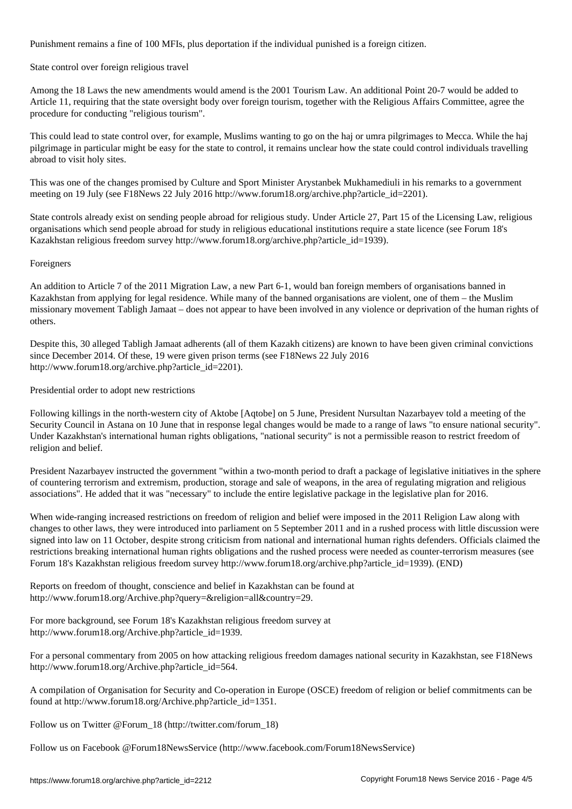Punishment remains a fine of 100 MFIs, plus deportation if the individual punished is a foreign citizen.

## State control over foreign religious travel

Among the 18 Laws the new amendments would amend is the 2001 Tourism Law. An additional Point 20-7 would be added to Article 11, requiring that the state oversight body over foreign tourism, together with the Religious Affairs Committee, agree the procedure for conducting "religious tourism".

This could lead to state control over, for example, Muslims wanting to go on the haj or umra pilgrimages to Mecca. While the haj pilgrimage in particular might be easy for the state to control, it remains unclear how the state could control individuals travelling abroad to visit holy sites.

This was one of the changes promised by Culture and Sport Minister Arystanbek Mukhamediuli in his remarks to a government meeting on 19 July (see F18News 22 July 2016 http://www.forum18.org/archive.php?article\_id=2201).

State controls already exist on sending people abroad for religious study. Under Article 27, Part 15 of the Licensing Law, religious organisations which send people abroad for study in religious educational institutions require a state licence (see Forum 18's Kazakhstan religious freedom survey http://www.forum18.org/archive.php?article\_id=1939).

## Foreigners

An addition to Article 7 of the 2011 Migration Law, a new Part 6-1, would ban foreign members of organisations banned in Kazakhstan from applying for legal residence. While many of the banned organisations are violent, one of them – the Muslim missionary movement Tabligh Jamaat – does not appear to have been involved in any violence or deprivation of the human rights of others.

Despite this, 30 alleged Tabligh Jamaat adherents (all of them Kazakh citizens) are known to have been given criminal convictions since December 2014. Of these, 19 were given prison terms (see F18News 22 July 2016 http://www.forum18.org/archive.php?article\_id=2201).

Presidential order to adopt new restrictions

Following killings in the north-western city of Aktobe [Aqtobe] on 5 June, President Nursultan Nazarbayev told a meeting of the Security Council in Astana on 10 June that in response legal changes would be made to a range of laws "to ensure national security". Under Kazakhstan's international human rights obligations, "national security" is not a permissible reason to restrict freedom of religion and belief.

President Nazarbayev instructed the government "within a two-month period to draft a package of legislative initiatives in the sphere of countering terrorism and extremism, production, storage and sale of weapons, in the area of regulating migration and religious associations". He added that it was "necessary" to include the entire legislative package in the legislative plan for 2016.

When wide-ranging increased restrictions on freedom of religion and belief were imposed in the 2011 Religion Law along with changes to other laws, they were introduced into parliament on 5 September 2011 and in a rushed process with little discussion were signed into law on 11 October, despite strong criticism from national and international human rights defenders. Officials claimed the restrictions breaking international human rights obligations and the rushed process were needed as counter-terrorism measures (see Forum 18's Kazakhstan religious freedom survey http://www.forum18.org/archive.php?article\_id=1939). (END)

Reports on freedom of thought, conscience and belief in Kazakhstan can be found at http://www.forum18.org/Archive.php?query=&religion=all&country=29.

For more background, see Forum 18's Kazakhstan religious freedom survey at http://www.forum18.org/Archive.php?article\_id=1939.

For a personal commentary from 2005 on how attacking religious freedom damages national security in Kazakhstan, see F18News http://www.forum18.org/Archive.php?article\_id=564.

A compilation of Organisation for Security and Co-operation in Europe (OSCE) freedom of religion or belief commitments can be found at http://www.forum18.org/Archive.php?article\_id=1351.

Follow us on Twitter @Forum\_18 (http://twitter.com/forum\_18)

Follow us on Facebook @Forum18NewsService (http://www.facebook.com/Forum18NewsService)